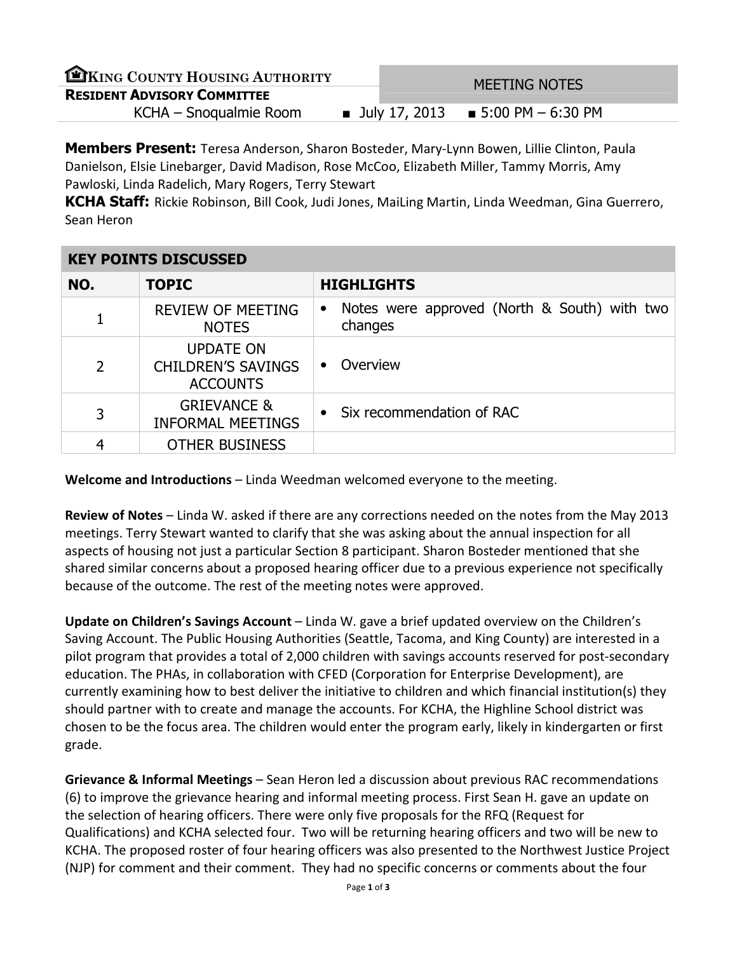| EXING COUNTY HOUSING AUTHORITY     | <b>MEETING NOTES</b> |                                      |
|------------------------------------|----------------------|--------------------------------------|
| <b>RESIDENT ADVISORY COMMITTEE</b> |                      |                                      |
| KCHA – Snoqualmie Room             |                      | ■ July 17, 2013 ■ 5:00 PM $-6:30$ PM |
|                                    |                      |                                      |

Members Present: Teresa Anderson, Sharon Bosteder, Mary-Lynn Bowen, Lillie Clinton, Paula Danielson, Elsie Linebarger, David Madison, Rose McCoo, Elizabeth Miller, Tammy Morris, Amy Pawloski, Linda Radelich, Mary Rogers, Terry Stewart

KCHA Staff: Rickie Robinson, Bill Cook, Judi Jones, MaiLing Martin, Linda Weedman, Gina Guerrero, Sean Heron

| <b>KEY POINTS DISCUSSED</b> |                                                                  |                                                                      |  |  |
|-----------------------------|------------------------------------------------------------------|----------------------------------------------------------------------|--|--|
| NO.                         | <b>TOPIC</b>                                                     | <b>HIGHLIGHTS</b>                                                    |  |  |
| 1                           | <b>REVIEW OF MEETING</b><br><b>NOTES</b>                         | Notes were approved (North & South) with two<br>$\bullet$<br>changes |  |  |
| $\overline{2}$              | <b>UPDATE ON</b><br><b>CHILDREN'S SAVINGS</b><br><b>ACCOUNTS</b> | Overview<br>$\bullet$                                                |  |  |
| 3                           | <b>GRIEVANCE &amp;</b><br><b>INFORMAL MEETINGS</b>               | Six recommendation of RAC                                            |  |  |
| 4                           | <b>OTHER BUSINESS</b>                                            |                                                                      |  |  |

Welcome and Introductions – Linda Weedman welcomed everyone to the meeting.

Review of Notes – Linda W. asked if there are any corrections needed on the notes from the May 2013 meetings. Terry Stewart wanted to clarify that she was asking about the annual inspection for all aspects of housing not just a particular Section 8 participant. Sharon Bosteder mentioned that she shared similar concerns about a proposed hearing officer due to a previous experience not specifically because of the outcome. The rest of the meeting notes were approved.

Update on Children's Savings Account – Linda W. gave a brief updated overview on the Children's Saving Account. The Public Housing Authorities (Seattle, Tacoma, and King County) are interested in a pilot program that provides a total of 2,000 children with savings accounts reserved for post-secondary education. The PHAs, in collaboration with CFED (Corporation for Enterprise Development), are currently examining how to best deliver the initiative to children and which financial institution(s) they should partner with to create and manage the accounts. For KCHA, the Highline School district was chosen to be the focus area. The children would enter the program early, likely in kindergarten or first grade.

Grievance & Informal Meetings – Sean Heron led a discussion about previous RAC recommendations (6) to improve the grievance hearing and informal meeting process. First Sean H. gave an update on the selection of hearing officers. There were only five proposals for the RFQ (Request for Qualifications) and KCHA selected four. Two will be returning hearing officers and two will be new to KCHA. The proposed roster of four hearing officers was also presented to the Northwest Justice Project (NJP) for comment and their comment. They had no specific concerns or comments about the four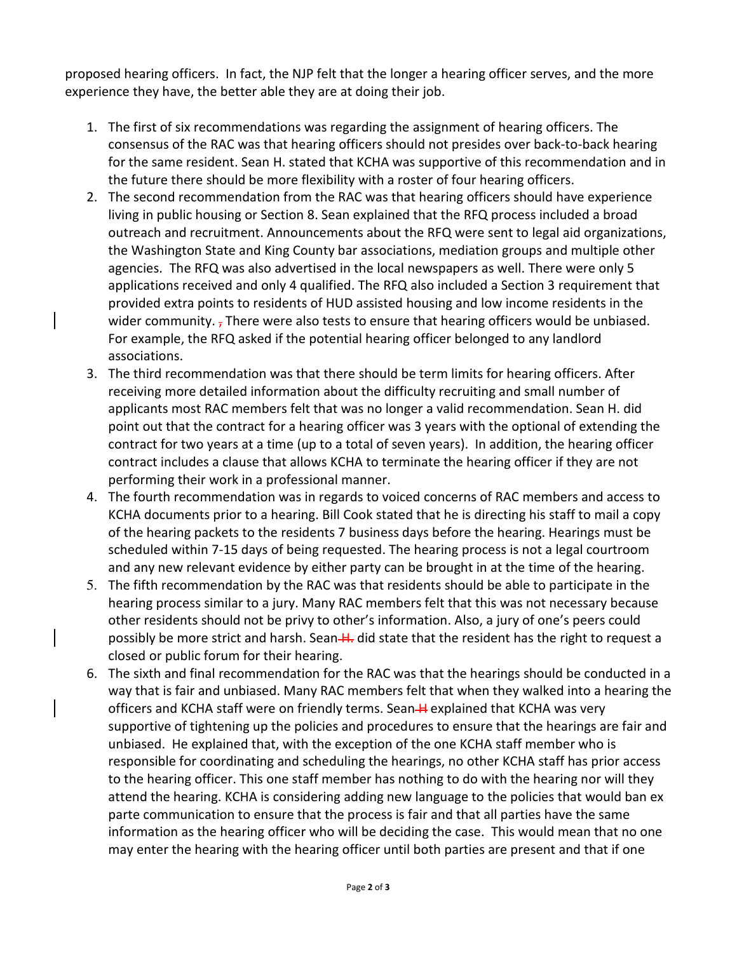proposed hearing officers. In fact, the NJP felt that the longer a hearing officer serves, and the more experience they have, the better able they are at doing their job.

- 1. The first of six recommendations was regarding the assignment of hearing officers. The consensus of the RAC was that hearing officers should not presides over back-to-back hearing for the same resident. Sean H. stated that KCHA was supportive of this recommendation and in the future there should be more flexibility with a roster of four hearing officers.
- 2. The second recommendation from the RAC was that hearing officers should have experience living in public housing or Section 8. Sean explained that the RFQ process included a broad outreach and recruitment. Announcements about the RFQ were sent to legal aid organizations, the Washington State and King County bar associations, mediation groups and multiple other agencies. The RFQ was also advertised in the local newspapers as well. There were only 5 applications received and only 4 qualified. The RFQ also included a Section 3 requirement that provided extra points to residents of HUD assisted housing and low income residents in the wider community.  $<sub>7</sub>$  There were also tests to ensure that hearing officers would be unbiased.</sub> For example, the RFQ asked if the potential hearing officer belonged to any landlord associations.
- 3. The third recommendation was that there should be term limits for hearing officers. After receiving more detailed information about the difficulty recruiting and small number of applicants most RAC members felt that was no longer a valid recommendation. Sean H. did point out that the contract for a hearing officer was 3 years with the optional of extending the contract for two years at a time (up to a total of seven years). In addition, the hearing officer contract includes a clause that allows KCHA to terminate the hearing officer if they are not performing their work in a professional manner.
- 4. The fourth recommendation was in regards to voiced concerns of RAC members and access to KCHA documents prior to a hearing. Bill Cook stated that he is directing his staff to mail a copy of the hearing packets to the residents 7 business days before the hearing. Hearings must be scheduled within 7-15 days of being requested. The hearing process is not a legal courtroom and any new relevant evidence by either party can be brought in at the time of the hearing.
- 5. The fifth recommendation by the RAC was that residents should be able to participate in the hearing process similar to a jury. Many RAC members felt that this was not necessary because other residents should not be privy to other's information. Also, a jury of one's peers could possibly be more strict and harsh. Sean-H. did state that the resident has the right to request a closed or public forum for their hearing.
- 6. The sixth and final recommendation for the RAC was that the hearings should be conducted in a way that is fair and unbiased. Many RAC members felt that when they walked into a hearing the officers and KCHA staff were on friendly terms. Sean-Hexplained that KCHA was very supportive of tightening up the policies and procedures to ensure that the hearings are fair and unbiased. He explained that, with the exception of the one KCHA staff member who is responsible for coordinating and scheduling the hearings, no other KCHA staff has prior access to the hearing officer. This one staff member has nothing to do with the hearing nor will they attend the hearing. KCHA is considering adding new language to the policies that would ban ex parte communication to ensure that the process is fair and that all parties have the same information as the hearing officer who will be deciding the case. This would mean that no one may enter the hearing with the hearing officer until both parties are present and that if one